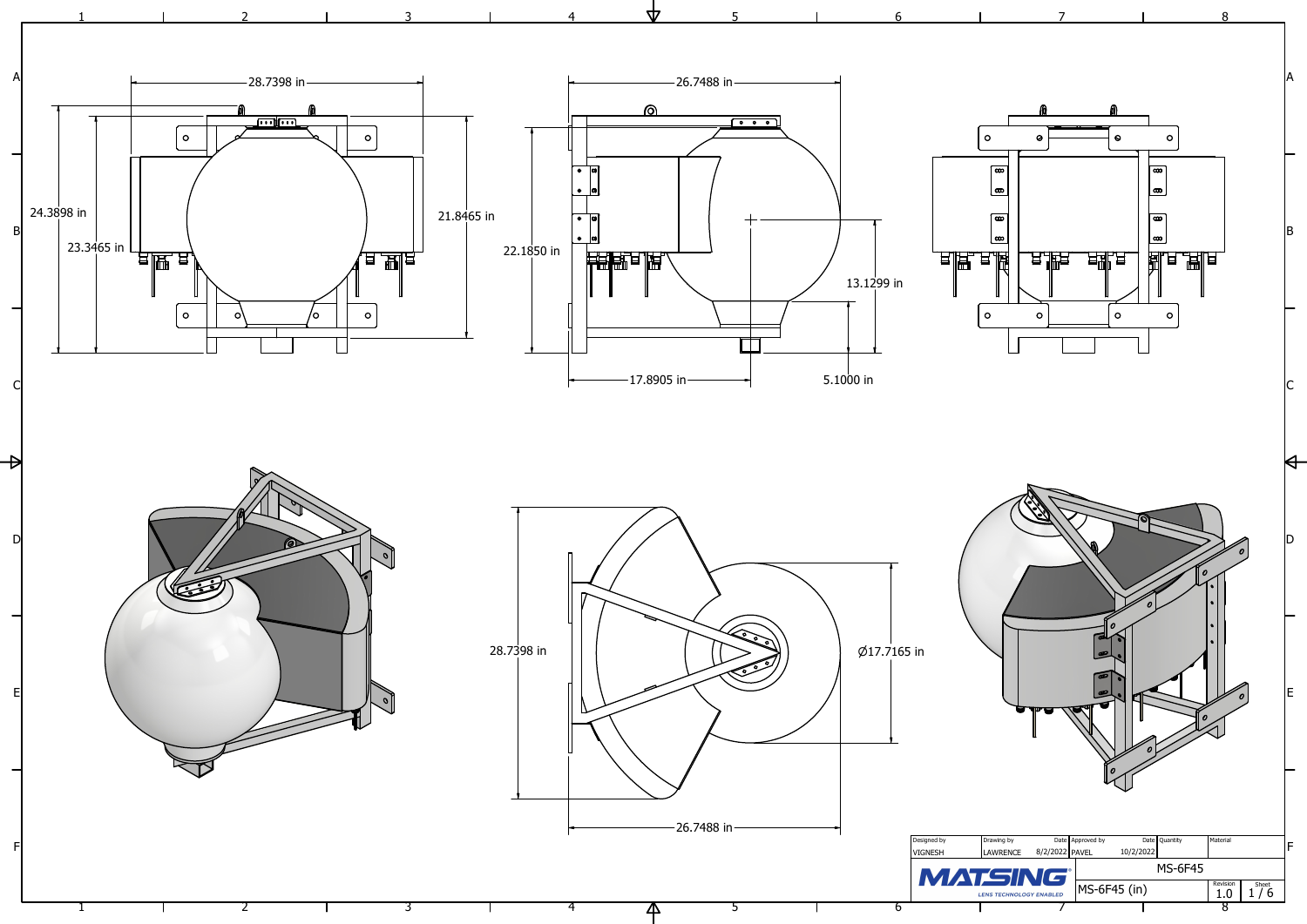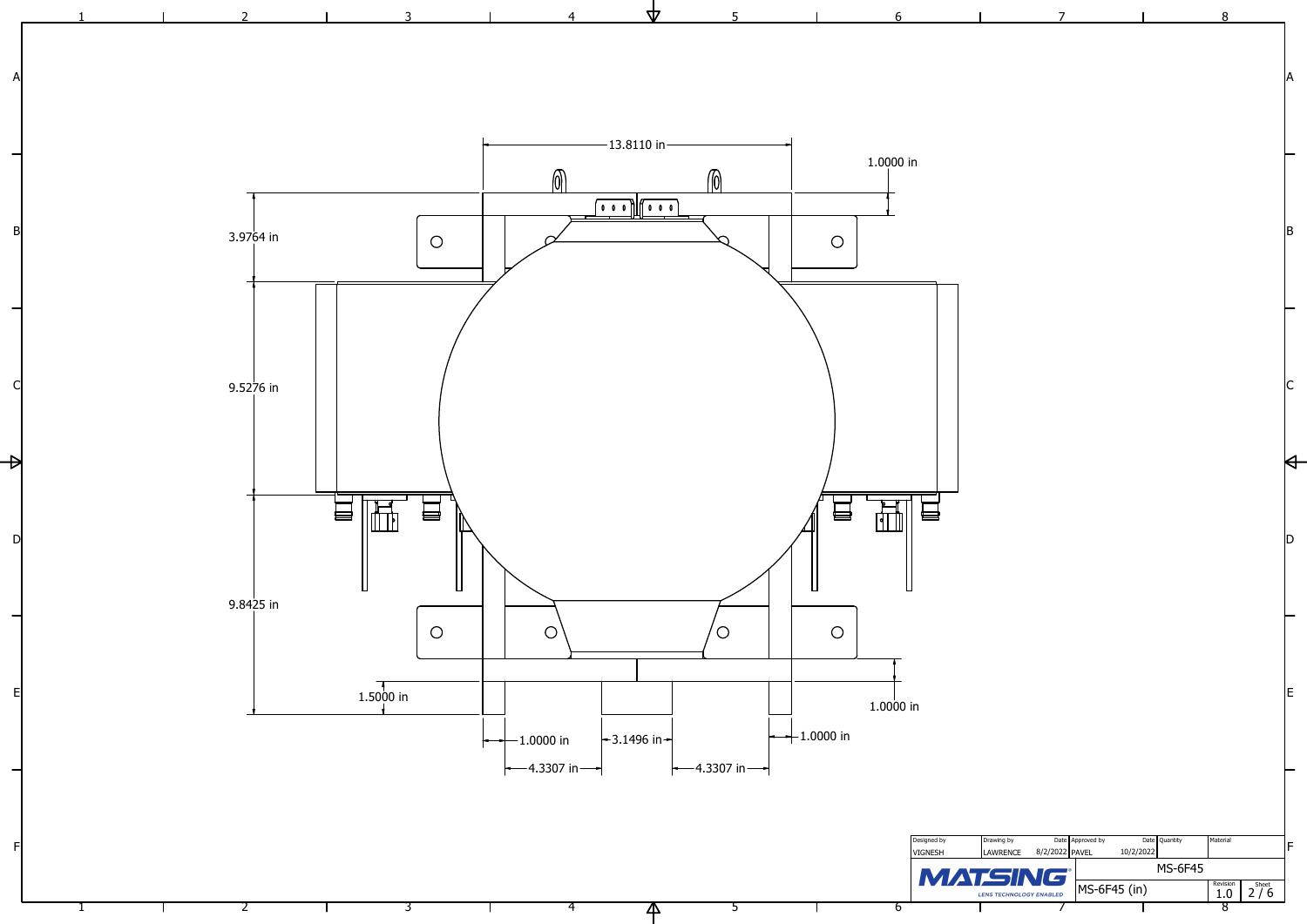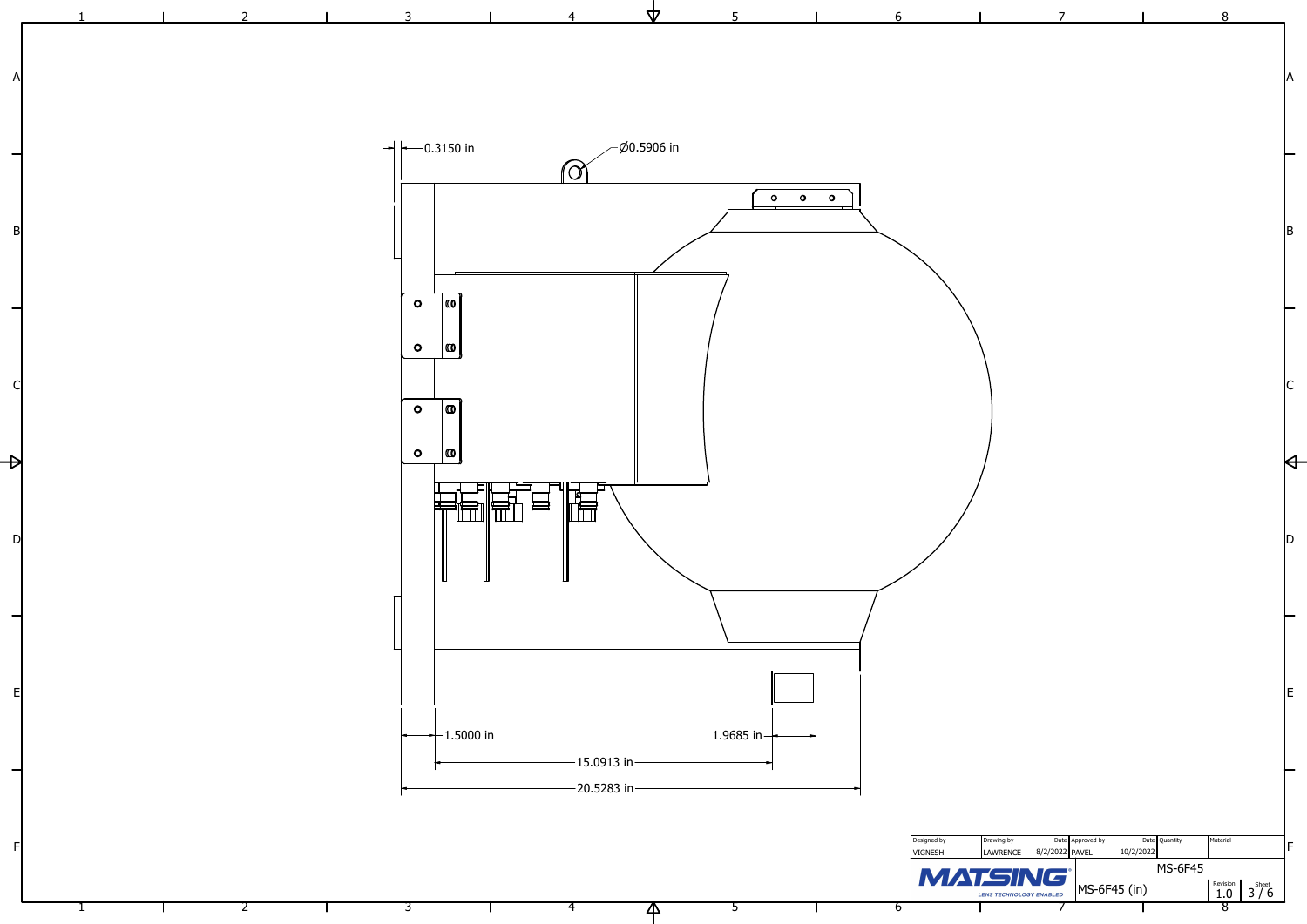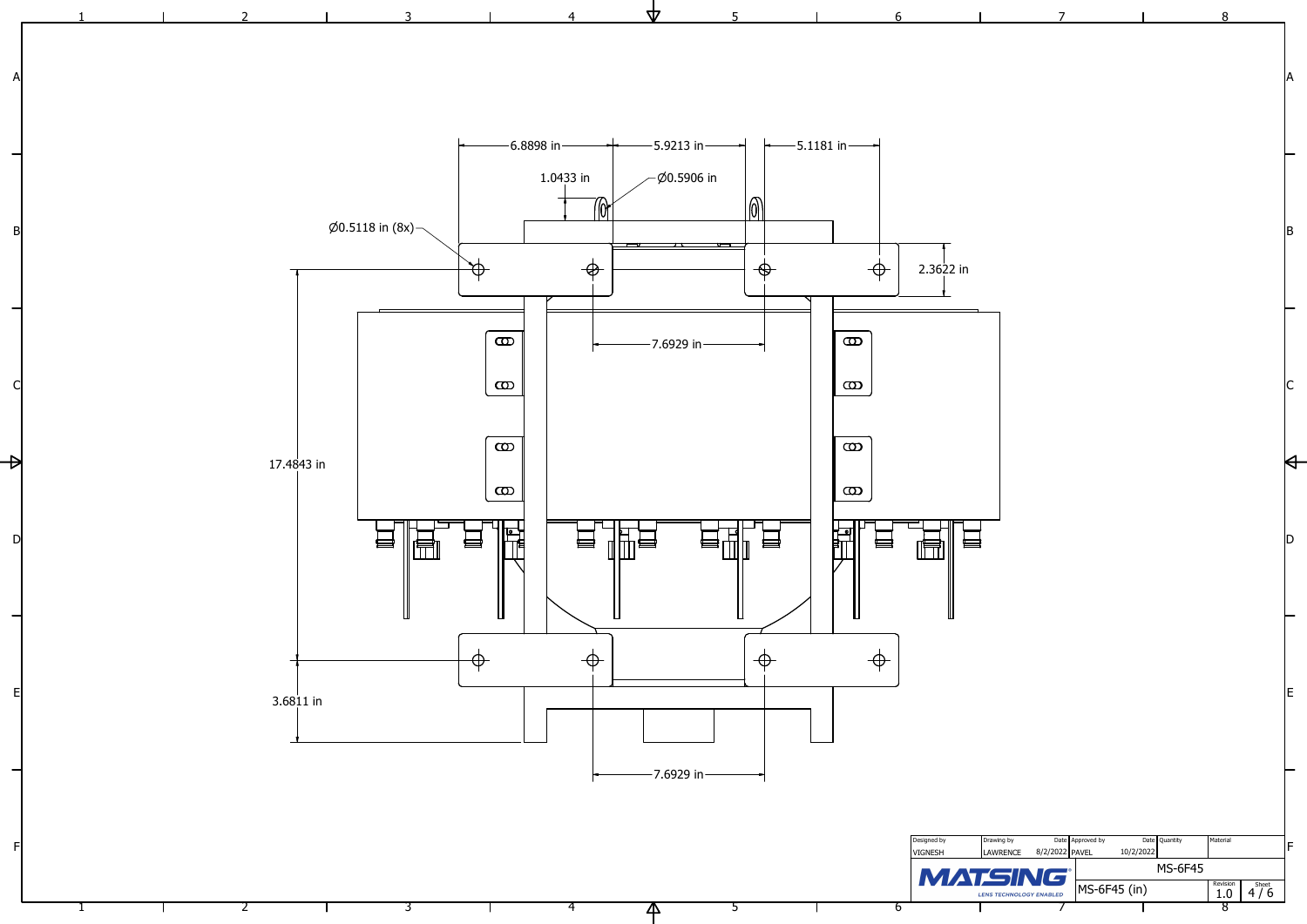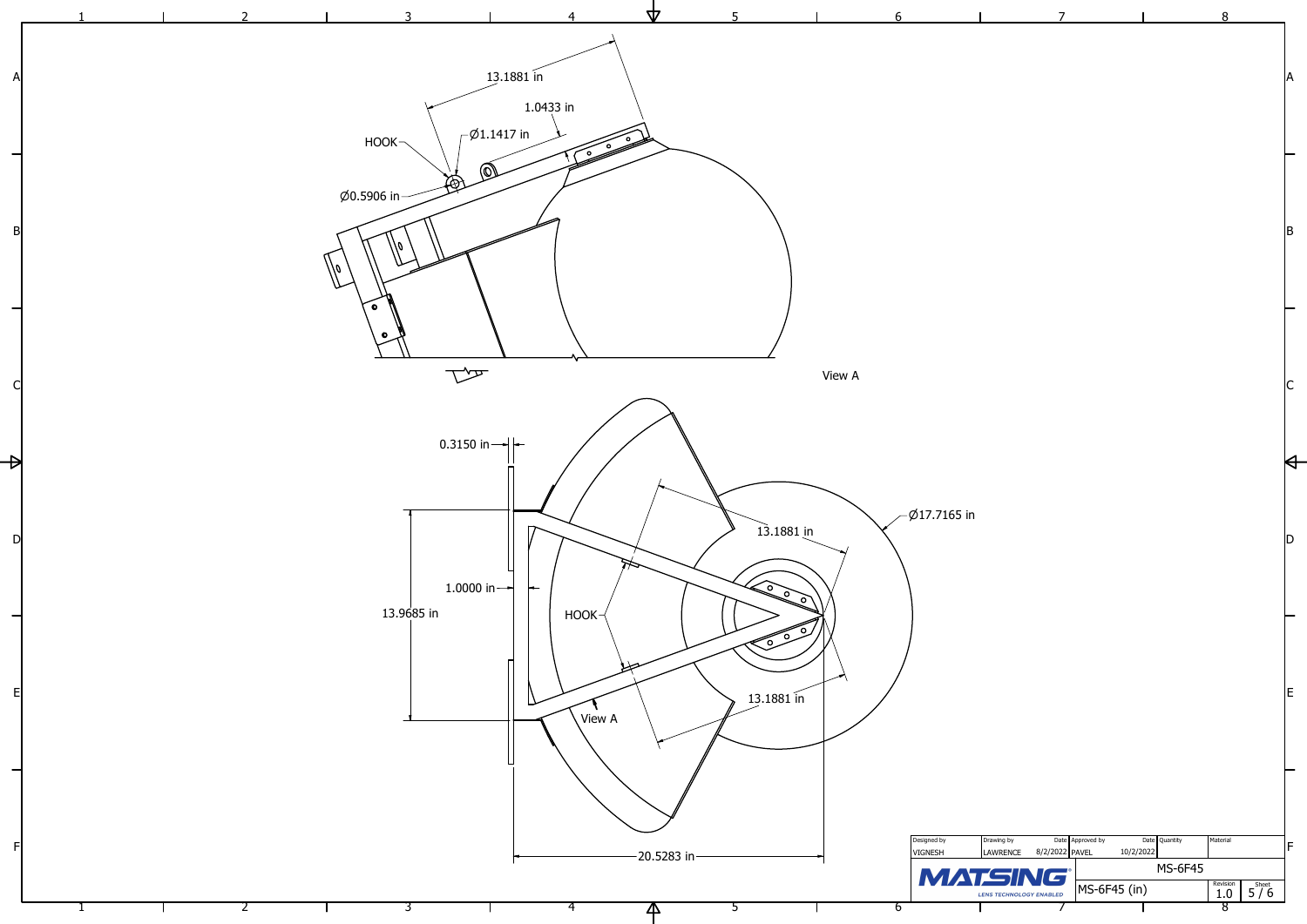